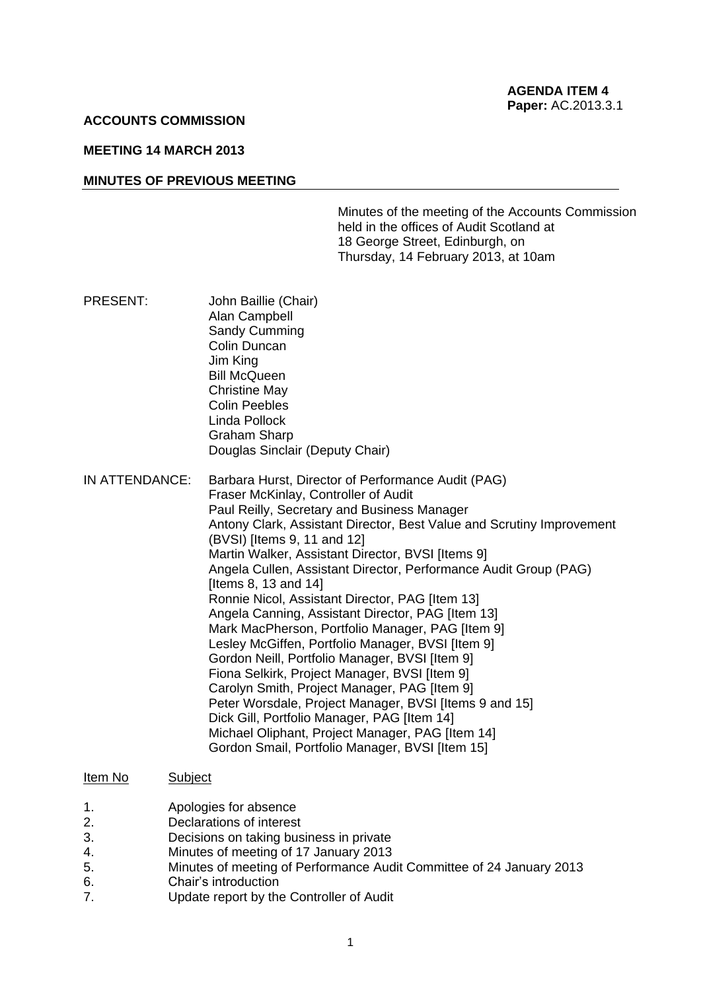### **ACCOUNTS COMMISSION**

# **MEETING 14 MARCH 2013**

#### **MINUTES OF PREVIOUS MEETING**

Minutes of the meeting of the Accounts Commission held in the offices of Audit Scotland at 18 George Street, Edinburgh, on Thursday, 14 February 2013, at 10am

- PRESENT: John Baillie (Chair) Alan Campbell Sandy Cumming Colin Duncan Jim King Bill McQueen Christine May Colin Peebles Linda Pollock Graham Sharp Douglas Sinclair (Deputy Chair)
- IN ATTENDANCE: Barbara Hurst, Director of Performance Audit (PAG) Fraser McKinlay, Controller of Audit Paul Reilly, Secretary and Business Manager Antony Clark, Assistant Director, Best Value and Scrutiny Improvement (BVSI) [Items 9, 11 and 12] Martin Walker, Assistant Director, BVSI Iltems 91 Angela Cullen, Assistant Director, Performance Audit Group (PAG) [Items 8, 13 and 14] Ronnie Nicol, Assistant Director, PAG [Item 13] Angela Canning, Assistant Director, PAG [Item 13] Mark MacPherson, Portfolio Manager, PAG [Item 9] Lesley McGiffen, Portfolio Manager, BVSI [Item 9] Gordon Neill, Portfolio Manager, BVSI [Item 9] Fiona Selkirk, Project Manager, BVSI [Item 9] Carolyn Smith, Project Manager, PAG [Item 9] Peter Worsdale, Project Manager, BVSI Iltems 9 and 151 Dick Gill, Portfolio Manager, PAG [Item 14] Michael Oliphant, Project Manager, PAG [Item 14] Gordon Smail, Portfolio Manager, BVSI [Item 15]

#### Item No Subject

- 1. Apologies for absence
- 2. Declarations of interest
- 3. Decisions on taking business in private
- 4. Minutes of meeting of 17 January 2013
- 5. Minutes of meeting of Performance Audit Committee of 24 January 2013
- 6. Chair's introduction
- 7. Update report by the Controller of Audit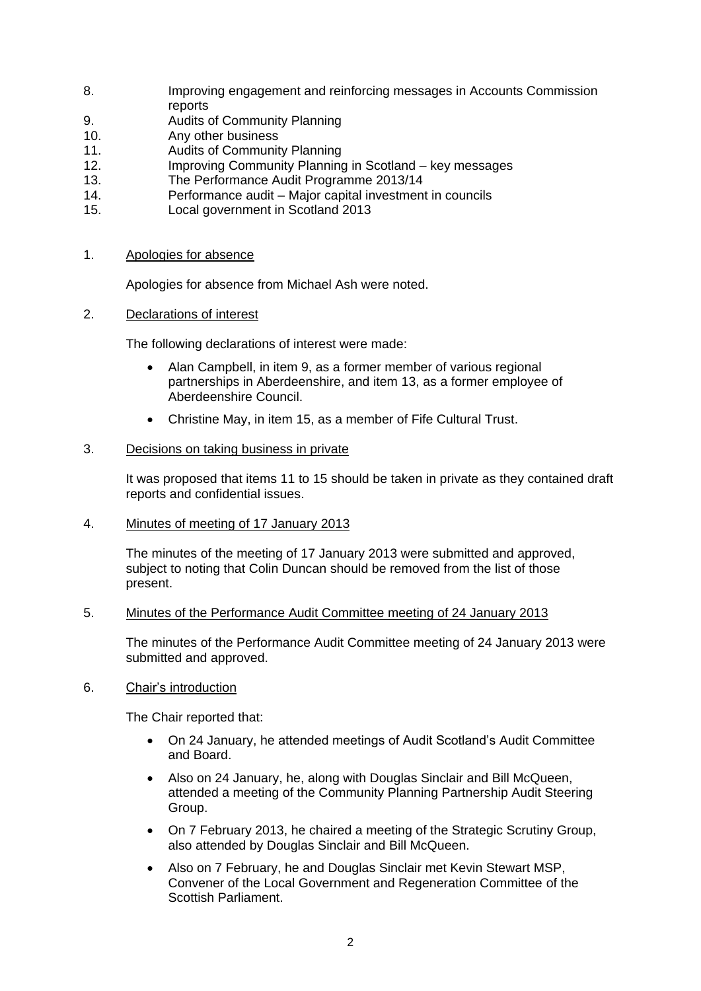- 8. Improving engagement and reinforcing messages in Accounts Commission reports
- 9. Audits of Community Planning
- 10. Any other business
- 11. Audits of Community Planning
- 12. Improving Community Planning in Scotland key messages
- 13. The Performance Audit Programme 2013/14
- 14. Performance audit Major capital investment in councils
- 15. Local government in Scotland 2013
- 1. Apologies for absence

Apologies for absence from Michael Ash were noted.

2. Declarations of interest

The following declarations of interest were made:

- Alan Campbell, in item 9, as a former member of various regional partnerships in Aberdeenshire, and item 13, as a former employee of Aberdeenshire Council.
- Christine May, in item 15, as a member of Fife Cultural Trust.

# 3. Decisions on taking business in private

It was proposed that items 11 to 15 should be taken in private as they contained draft reports and confidential issues.

4. Minutes of meeting of 17 January 2013

The minutes of the meeting of 17 January 2013 were submitted and approved, subject to noting that Colin Duncan should be removed from the list of those present.

# 5. Minutes of the Performance Audit Committee meeting of 24 January 2013

The minutes of the Performance Audit Committee meeting of 24 January 2013 were submitted and approved.

6. Chair's introduction

The Chair reported that:

- On 24 January, he attended meetings of Audit Scotland's Audit Committee and Board.
- Also on 24 January, he, along with Douglas Sinclair and Bill McQueen, attended a meeting of the Community Planning Partnership Audit Steering Group.
- On 7 February 2013, he chaired a meeting of the Strategic Scrutiny Group, also attended by Douglas Sinclair and Bill McQueen.
- Also on 7 February, he and Douglas Sinclair met Kevin Stewart MSP, Convener of the Local Government and Regeneration Committee of the Scottish Parliament.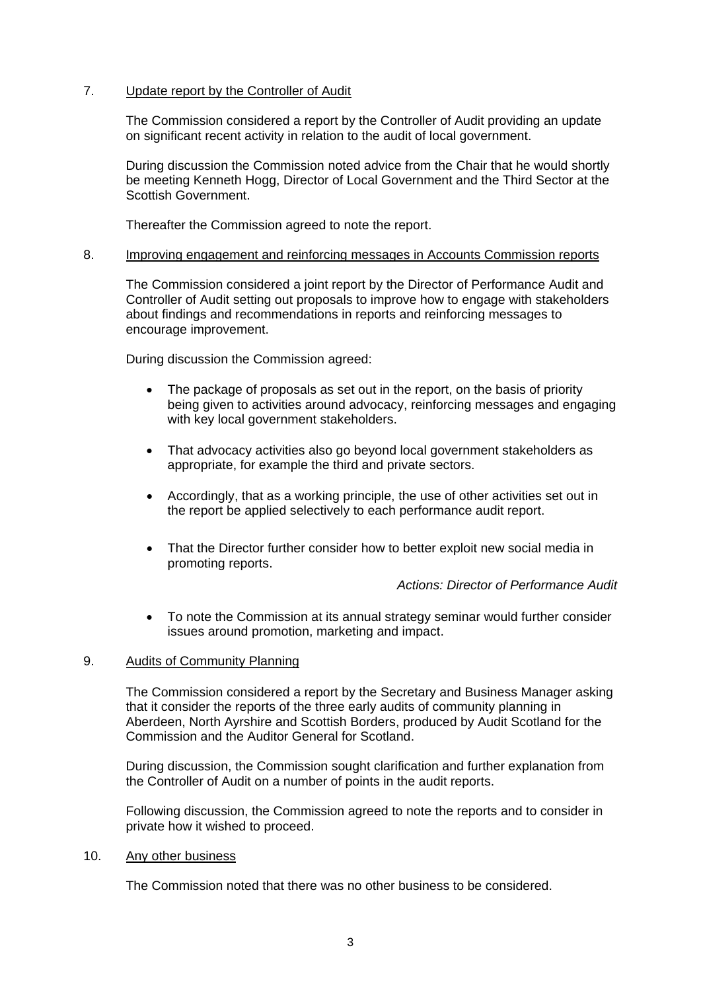# 7. Update report by the Controller of Audit

The Commission considered a report by the Controller of Audit providing an update on significant recent activity in relation to the audit of local government.

During discussion the Commission noted advice from the Chair that he would shortly be meeting Kenneth Hogg, Director of Local Government and the Third Sector at the Scottish Government.

Thereafter the Commission agreed to note the report.

### 8. Improving engagement and reinforcing messages in Accounts Commission reports

The Commission considered a joint report by the Director of Performance Audit and Controller of Audit setting out proposals to improve how to engage with stakeholders about findings and recommendations in reports and reinforcing messages to encourage improvement.

During discussion the Commission agreed:

- The package of proposals as set out in the report, on the basis of priority being given to activities around advocacy, reinforcing messages and engaging with key local government stakeholders.
- That advocacy activities also go beyond local government stakeholders as appropriate, for example the third and private sectors.
- Accordingly, that as a working principle, the use of other activities set out in the report be applied selectively to each performance audit report.
- That the Director further consider how to better exploit new social media in promoting reports.

*Actions: Director of Performance Audit*

 To note the Commission at its annual strategy seminar would further consider issues around promotion, marketing and impact.

### 9. Audits of Community Planning

The Commission considered a report by the Secretary and Business Manager asking that it consider the reports of the three early audits of community planning in Aberdeen, North Ayrshire and Scottish Borders, produced by Audit Scotland for the Commission and the Auditor General for Scotland.

During discussion, the Commission sought clarification and further explanation from the Controller of Audit on a number of points in the audit reports.

Following discussion, the Commission agreed to note the reports and to consider in private how it wished to proceed.

## 10. Any other business

The Commission noted that there was no other business to be considered.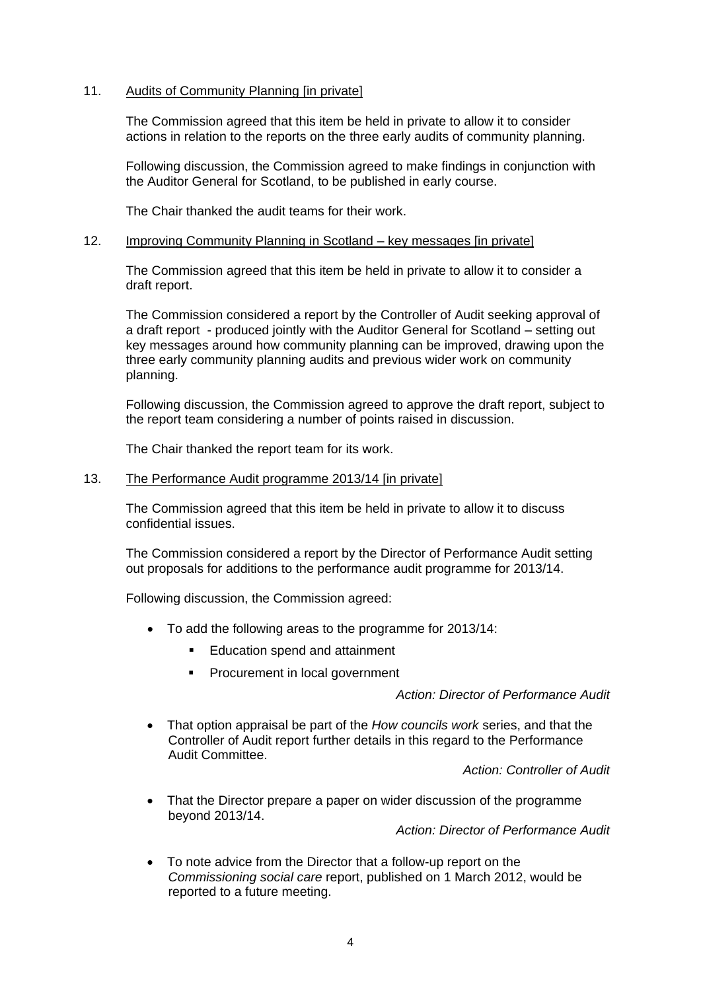# 11. Audits of Community Planning [in private]

The Commission agreed that this item be held in private to allow it to consider actions in relation to the reports on the three early audits of community planning.

Following discussion, the Commission agreed to make findings in conjunction with the Auditor General for Scotland, to be published in early course.

The Chair thanked the audit teams for their work.

#### 12. Improving Community Planning in Scotland – key messages [in private]

The Commission agreed that this item be held in private to allow it to consider a draft report.

The Commission considered a report by the Controller of Audit seeking approval of a draft report - produced jointly with the Auditor General for Scotland – setting out key messages around how community planning can be improved, drawing upon the three early community planning audits and previous wider work on community planning.

Following discussion, the Commission agreed to approve the draft report, subject to the report team considering a number of points raised in discussion.

The Chair thanked the report team for its work.

#### 13. The Performance Audit programme 2013/14 [in private]

The Commission agreed that this item be held in private to allow it to discuss confidential issues.

The Commission considered a report by the Director of Performance Audit setting out proposals for additions to the performance audit programme for 2013/14.

Following discussion, the Commission agreed:

- To add the following areas to the programme for 2013/14:
	- **Education spend and attainment**
	- **Procurement in local government**

*Action: Director of Performance Audit*

 That option appraisal be part of the *How councils work* series, and that the Controller of Audit report further details in this regard to the Performance Audit Committee.

*Action: Controller of Audit*

 That the Director prepare a paper on wider discussion of the programme beyond 2013/14.

*Action: Director of Performance Audit*

 To note advice from the Director that a follow-up report on the *Commissioning social care* report, published on 1 March 2012, would be reported to a future meeting.